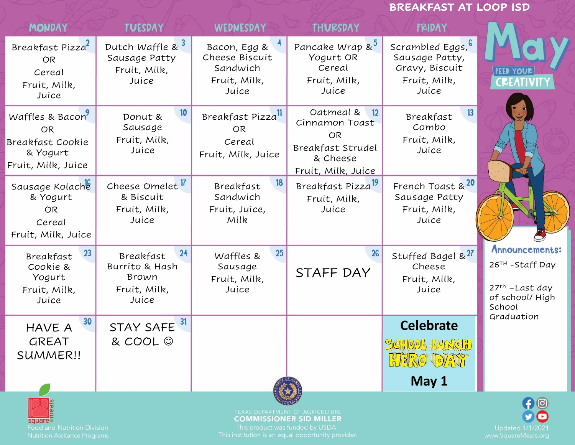|                                                                                    |                                                                     |                                                                     |                                                                                                       | <b>BREAKFAST AT LOOP ISD</b>                                                          |                                                                                               |
|------------------------------------------------------------------------------------|---------------------------------------------------------------------|---------------------------------------------------------------------|-------------------------------------------------------------------------------------------------------|---------------------------------------------------------------------------------------|-----------------------------------------------------------------------------------------------|
| <b>MONDAY</b>                                                                      | <b>TUESDAY</b>                                                      | <b>WEDNESDAY</b>                                                    | <b>THURSDAY</b>                                                                                       | <b>FRIDAY</b>                                                                         |                                                                                               |
| Breakfast Pizza<br><b>OR</b><br>Cereal<br>Fruit, Milk,<br>Juice                    | Dutch Waffle &<br>Sausage Patty<br>Fruit, Milk,<br>Juice            | Bacon, Egg &<br>Cheese Biscuit<br>Sandwich<br>Fruit, Milk,<br>Juice | Pancake Wrap & <sup>3</sup><br>Yogurt OR<br>Cereal<br>Fruit, Milk,<br>Juice                           | Scrambled Eggs, <b>b</b><br>Sausage Patty,<br>Gravy, Biscuit<br>Fruit, Milk,<br>Juice | YOUR                                                                                          |
| Waffles & Bacon<br><b>OR</b><br>Breakfast Cookie<br>& Yogurt<br>Fruit, Milk, Juice | 10<br>Donut &<br>Sausage<br>Fruit, Milk,<br>Juice                   | Breakfast Pizzall<br><b>OR</b><br>Cereal<br>Fruit, Milk, Juice      | Oatmeal &<br>12<br>Cinnamon Toast<br><b>OR</b><br>Breakfast Strudel<br>& Cheese<br>Fruit, Milk, Juice | 13<br>Breakfast<br>Combo<br>Fruit, Milk,<br>Juice                                     |                                                                                               |
| Sausage Kolache<br>& Yogurt<br><b>OR</b><br>Cereal<br>Fruit, Milk, Juice           | Cheese Omelet In<br>& Biscuit<br>Fruit, Milk,<br>Juice              | 18<br>Breakfast<br>Sandwich<br>Fruit, Juice,<br>Milk                | Breakfast Pizza <sup>19</sup><br>Fruit, Milk,<br>Juice                                                | French Toast & <sup>20</sup><br>Sausage Patty<br>Fruit, Milk,<br>Juice                |                                                                                               |
| 23<br>Breakfast<br>Cookie &<br>Yogurt<br>Fruit, Milk,<br>Juice                     | 24<br>Breakfast<br>Burrito & Hash<br>Brown<br>Fruit, Milk,<br>Juice | 25<br>Waffles &<br>Sausage<br>Fruit, Milk,<br>Juice                 | 26<br>STAFF DAY                                                                                       | Stuffed Bagel & <sup>27</sup><br>Cheese<br>Fruit, Milk,<br>Juice                      | Announcements:<br>26 <sup>TH</sup> -Staff Day<br>$27th$ -Last day<br>of school/High<br>School |
| 30<br><b>HAVE A</b><br><b>GREAT</b><br>SUMMER!!                                    | 31<br><b>STAY SAFE</b><br>& COOL ©                                  |                                                                     |                                                                                                       | <b>Celebrate</b><br>SCHOOL LUNCH<br>HERO DAY<br>May 1                                 | Graduation                                                                                    |
| square<br><b>Food and Nutrition Division</b>                                       |                                                                     | This product was funded by USDA.                                    | TEXAS DEPARTMENT OF AGRICULTURE<br><b>COMMISSIONER SID MILLER</b>                                     |                                                                                       | $\bigoplus$<br>Updated 1/1/2021                                                               |